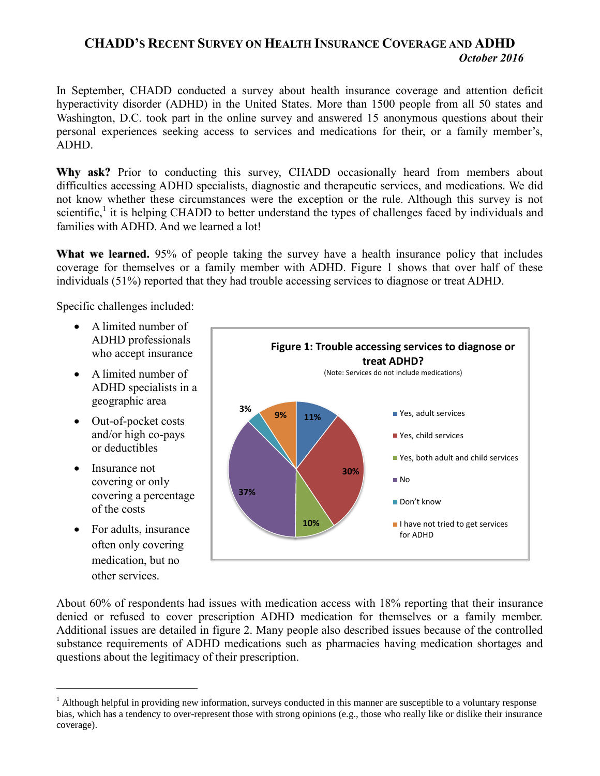## **CHADD'S RECENT SURVEY ON HEALTH INSURANCE COVERAGE AND ADHD** *October 2016*

In September, CHADD conducted a survey about health insurance coverage and attention deficit hyperactivity disorder (ADHD) in the United States. More than 1500 people from all 50 states and Washington, D.C. took part in the online survey and answered 15 anonymous questions about their personal experiences seeking access to services and medications for their, or a family member's, ADHD.

Why ask? Prior to conducting this survey, CHADD occasionally heard from members about difficulties accessing ADHD specialists, diagnostic and therapeutic services, and medications. We did not know whether these circumstances were the exception or the rule. Although this survey is not scientific,<sup>1</sup> it is helping CHADD to better understand the types of challenges faced by individuals and families with ADHD. And we learned a lot!

**What we learned.** 95% of people taking the survey have a health insurance policy that includes coverage for themselves or a family member with ADHD. Figure 1 shows that over half of these individuals (51%) reported that they had trouble accessing services to diagnose or treat ADHD.

Specific challenges included:

- A limited number of ADHD professionals who accept insurance
- A limited number of ADHD specialists in a geographic area
- Out-of-pocket costs and/or high co-pays or deductibles
- Insurance not covering or only covering a percentage of the costs
- For adults, insurance often only covering medication, but no other services.

 $\overline{a}$ 



About 60% of respondents had issues with medication access with 18% reporting that their insurance denied or refused to cover prescription ADHD medication for themselves or a family member. Additional issues are detailed in figure 2. Many people also described issues because of the controlled substance requirements of ADHD medications such as pharmacies having medication shortages and questions about the legitimacy of their prescription.

<sup>&</sup>lt;sup>1</sup> Although helpful in providing new information, surveys conducted in this manner are susceptible to a voluntary response bias, which has a tendency to over-represent those with strong opinions (e.g., those who really like or dislike their insurance coverage).